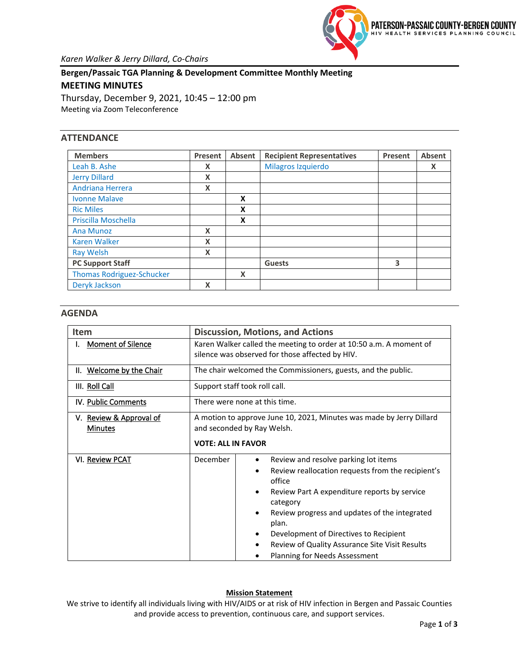

**Bergen/Passaic TGA Planning & Development Committee Monthly Meeting MEETING MINUTES**

Thursday, December 9, 2021, 10:45 – 12:00 pm Meeting via Zoom Teleconference

# **ATTENDANCE**

| <b>Members</b>                   | Present | Absent | <b>Recipient Representatives</b> | Present | <b>Absent</b> |
|----------------------------------|---------|--------|----------------------------------|---------|---------------|
| Leah B. Ashe                     | X       |        | Milagros Izquierdo               |         | X             |
| <b>Jerry Dillard</b>             | X       |        |                                  |         |               |
| Andriana Herrera                 | X       |        |                                  |         |               |
| <b>Ivonne Malave</b>             |         | X      |                                  |         |               |
| <b>Ric Miles</b>                 |         | X      |                                  |         |               |
| Priscilla Moschella              |         | X      |                                  |         |               |
| <b>Ana Munoz</b>                 | x       |        |                                  |         |               |
| <b>Karen Walker</b>              | X       |        |                                  |         |               |
| <b>Ray Welsh</b>                 | X       |        |                                  |         |               |
| <b>PC Support Staff</b>          |         |        | <b>Guests</b>                    | 3       |               |
| <b>Thomas Rodriguez-Schucker</b> |         | X      |                                  |         |               |
| Deryk Jackson                    | X       |        |                                  |         |               |

# **AGENDA**

| <b>Item</b>                               | <b>Discussion, Motions, and Actions</b>                                                                                                                                                                                                                                                                                                                                        |  |  |
|-------------------------------------------|--------------------------------------------------------------------------------------------------------------------------------------------------------------------------------------------------------------------------------------------------------------------------------------------------------------------------------------------------------------------------------|--|--|
| <b>Moment of Silence</b>                  | Karen Walker called the meeting to order at 10:50 a.m. A moment of<br>silence was observed for those affected by HIV.                                                                                                                                                                                                                                                          |  |  |
| II. Welcome by the Chair                  | The chair welcomed the Commissioners, guests, and the public.                                                                                                                                                                                                                                                                                                                  |  |  |
| III. Roll Call                            | Support staff took roll call.                                                                                                                                                                                                                                                                                                                                                  |  |  |
| IV. Public Comments                       | There were none at this time.                                                                                                                                                                                                                                                                                                                                                  |  |  |
| V. Review & Approval of<br><b>Minutes</b> | A motion to approve June 10, 2021, Minutes was made by Jerry Dillard<br>and seconded by Ray Welsh.<br><b>VOTE: ALL IN FAVOR</b>                                                                                                                                                                                                                                                |  |  |
| VI. Review PCAT                           | December<br>Review and resolve parking lot items<br>Review reallocation requests from the recipient's<br>٠<br>office<br>Review Part A expenditure reports by service<br>category<br>Review progress and updates of the integrated<br>plan.<br>Development of Directives to Recipient<br>Review of Quality Assurance Site Visit Results<br><b>Planning for Needs Assessment</b> |  |  |

### **Mission Statement**

We strive to identify all individuals living with HIV/AIDS or at risk of HIV infection in Bergen and Passaic Counties and provide access to prevention, continuous care, and support services.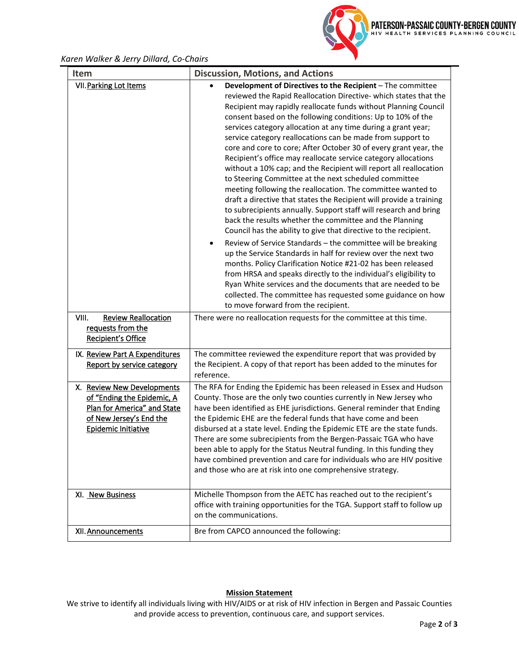

# *Karen Walker & Jerry Dillard, Co-Chairs*

| Item                                                                                                                                             | <b>Discussion, Motions, and Actions</b>                                                                                                                                                                                                                                                                                                                                                                                                                                                                                                                                                                                                                                                                                                                                                                                                                                                                                                                                                                                                                                                                                                                                                                                                                                                                                                                                                                                                                |
|--------------------------------------------------------------------------------------------------------------------------------------------------|--------------------------------------------------------------------------------------------------------------------------------------------------------------------------------------------------------------------------------------------------------------------------------------------------------------------------------------------------------------------------------------------------------------------------------------------------------------------------------------------------------------------------------------------------------------------------------------------------------------------------------------------------------------------------------------------------------------------------------------------------------------------------------------------------------------------------------------------------------------------------------------------------------------------------------------------------------------------------------------------------------------------------------------------------------------------------------------------------------------------------------------------------------------------------------------------------------------------------------------------------------------------------------------------------------------------------------------------------------------------------------------------------------------------------------------------------------|
| VII. Parking Lot Items                                                                                                                           | Development of Directives to the Recipient - The committee<br>reviewed the Rapid Reallocation Directive- which states that the<br>Recipient may rapidly reallocate funds without Planning Council<br>consent based on the following conditions: Up to 10% of the<br>services category allocation at any time during a grant year;<br>service category reallocations can be made from support to<br>core and core to core; After October 30 of every grant year, the<br>Recipient's office may reallocate service category allocations<br>without a 10% cap; and the Recipient will report all reallocation<br>to Steering Committee at the next scheduled committee<br>meeting following the reallocation. The committee wanted to<br>draft a directive that states the Recipient will provide a training<br>to subrecipients annually. Support staff will research and bring<br>back the results whether the committee and the Planning<br>Council has the ability to give that directive to the recipient.<br>Review of Service Standards - the committee will be breaking<br>up the Service Standards in half for review over the next two<br>months. Policy Clarification Notice #21-02 has been released<br>from HRSA and speaks directly to the individual's eligibility to<br>Ryan White services and the documents that are needed to be<br>collected. The committee has requested some guidance on how<br>to move forward from the recipient. |
| VIII.<br><b>Review Reallocation</b><br>requests from the<br>Recipient's Office                                                                   | There were no reallocation requests for the committee at this time.                                                                                                                                                                                                                                                                                                                                                                                                                                                                                                                                                                                                                                                                                                                                                                                                                                                                                                                                                                                                                                                                                                                                                                                                                                                                                                                                                                                    |
| IX. Review Part A Expenditures<br>Report by service category                                                                                     | The committee reviewed the expenditure report that was provided by<br>the Recipient. A copy of that report has been added to the minutes for<br>reference.                                                                                                                                                                                                                                                                                                                                                                                                                                                                                                                                                                                                                                                                                                                                                                                                                                                                                                                                                                                                                                                                                                                                                                                                                                                                                             |
| X. Review New Developments<br>of "Ending the Epidemic, A<br>Plan for America" and State<br>of New Jersey's End the<br><b>Epidemic Initiative</b> | The RFA for Ending the Epidemic has been released in Essex and Hudson<br>County. Those are the only two counties currently in New Jersey who<br>have been identified as EHE jurisdictions. General reminder that Ending<br>the Epidemic EHE are the federal funds that have come and been<br>disbursed at a state level. Ending the Epidemic ETE are the state funds.<br>There are some subrecipients from the Bergen-Passaic TGA who have<br>been able to apply for the Status Neutral funding. In this funding they<br>have combined prevention and care for individuals who are HIV positive<br>and those who are at risk into one comprehensive strategy.                                                                                                                                                                                                                                                                                                                                                                                                                                                                                                                                                                                                                                                                                                                                                                                          |
| XI. New Business                                                                                                                                 | Michelle Thompson from the AETC has reached out to the recipient's<br>office with training opportunities for the TGA. Support staff to follow up<br>on the communications.                                                                                                                                                                                                                                                                                                                                                                                                                                                                                                                                                                                                                                                                                                                                                                                                                                                                                                                                                                                                                                                                                                                                                                                                                                                                             |
| XII. Announcements                                                                                                                               | Bre from CAPCO announced the following:                                                                                                                                                                                                                                                                                                                                                                                                                                                                                                                                                                                                                                                                                                                                                                                                                                                                                                                                                                                                                                                                                                                                                                                                                                                                                                                                                                                                                |

#### **Mission Statement**

We strive to identify all individuals living with HIV/AIDS or at risk of HIV infection in Bergen and Passaic Counties and provide access to prevention, continuous care, and support services.